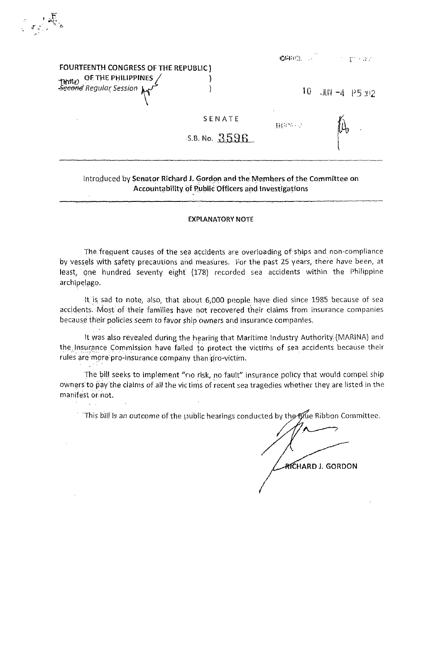## FOURTEENTH CONGRESS OF THE REPUBLIC) THOU OF THE PHILIPPINES  $\mathcal{L}$ ......<br><del>econd</del> Regular Session  $\mathcal{F}$

(二)

| GHE . |  | パンテル アイト |  |
|-------|--|----------|--|

 $10 JIII - 4$  P5 :02

SENATE  $5.8.$  No.  $3596$ 

## 軽いでのレン

## Introduced by Senator Richard J. Gordon and the Members of the Committee on Accountability of Public Officers and Investigations

## **EXPLANATORY NOTE**

The frequent causes of the sea accidents are overloading of ships and non-compliance by vessels with safety precautions and measures. For the past 25 years, there have been, at least, one hundred seventy eight (178) recorded sea accidents within the Philippine archipelago.

It is sad to note, also, that about 6,000 people have died since 1985 because of sea accidents. Most of their families have not recovered their claims from insurance companies because their policies seem to favor ship owners and insurance companies.

It was also revealed during the hearing that Maritime Industry Authority (MARINA) and the Insurance Commission have failed to protect the victims of sea accidents because their rules are more pro-insurance company than pro-victim.

The bill seeks to implement "no risk, no fault" insurance policy that would compel ship owners to pay the claims of all the victims of recent sea tragedies whether they are listed in the manifest or not.

This bill is an outcome of the public hearings conducted by the Blue Ribbon Committee.

RICHARD J. GORDON